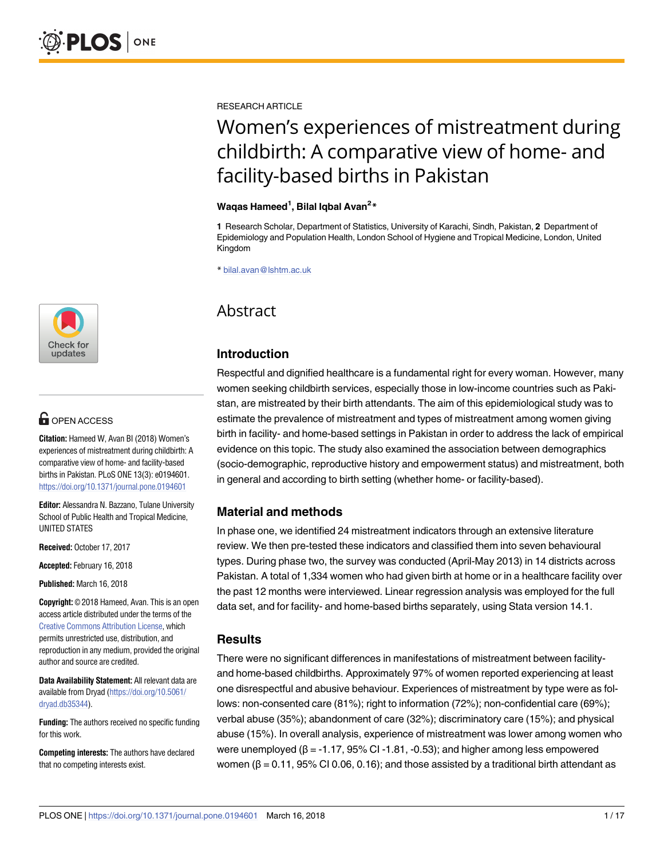

# **OPEN ACCESS**

**Citation:** Hameed W, Avan BI (2018) Women's experiences of mistreatment during childbirth: A comparative view of home- and facility-based births in Pakistan. PLoS ONE 13(3): e0194601. <https://doi.org/10.1371/journal.pone.0194601>

**Editor:** Alessandra N. Bazzano, Tulane University School of Public Health and Tropical Medicine, UNITED STATES

**Received:** October 17, 2017

**Accepted:** February 16, 2018

**Published:** March 16, 2018

**Copyright:** © 2018 Hameed, Avan. This is an open access article distributed under the terms of the Creative Commons [Attribution](http://creativecommons.org/licenses/by/4.0/) License, which permits unrestricted use, distribution, and reproduction in any medium, provided the original author and source are credited.

**Data Availability Statement:** All relevant data are available from Dryad [\(https://doi.org/10.5061/](https://doi.org/10.5061/dryad.db35344) [dryad.db35344](https://doi.org/10.5061/dryad.db35344)).

**Funding:** The authors received no specific funding for this work.

**Competing interests:** The authors have declared that no competing interests exist.

RESEARCH ARTICLE

# Women's experiences of mistreatment during childbirth: A comparative view of home- and facility-based births in Pakistan

#### **Waqas Hameed1 , Bilal Iqbal Avan2 \***

**1** Research Scholar, Department of Statistics, University of Karachi, Sindh, Pakistan, **2** Department of Epidemiology and Population Health, London School of Hygiene and Tropical Medicine, London, United Kingdom

\* bilal.avan@lshtm.ac.uk

# Abstract

# **Introduction**

Respectful and dignified healthcare is a fundamental right for every woman. However, many women seeking childbirth services, especially those in low-income countries such as Pakistan, are mistreated by their birth attendants. The aim of this epidemiological study was to estimate the prevalence of mistreatment and types of mistreatment among women giving birth in facility- and home-based settings in Pakistan in order to address the lack of empirical evidence on this topic. The study also examined the association between demographics (socio-demographic, reproductive history and empowerment status) and mistreatment, both in general and according to birth setting (whether home- or facility-based).

# **Material and methods**

In phase one, we identified 24 mistreatment indicators through an extensive literature review. We then pre-tested these indicators and classified them into seven behavioural types. During phase two, the survey was conducted (April-May 2013) in 14 districts across Pakistan. A total of 1,334 women who had given birth at home or in a healthcare facility over the past 12 months were interviewed. Linear regression analysis was employed for the full data set, and for facility- and home-based births separately, using Stata version 14.1.

# **Results**

There were no significant differences in manifestations of mistreatment between facilityand home-based childbirths. Approximately 97% of women reported experiencing at least one disrespectful and abusive behaviour. Experiences of mistreatment by type were as follows: non-consented care (81%); right to information (72%); non-confidential care (69%); verbal abuse (35%); abandonment of care (32%); discriminatory care (15%); and physical abuse (15%). In overall analysis, experience of mistreatment was lower among women who were unemployed ( $β = -1.17$ , 95% CI -1.81, -0.53); and higher among less empowered women ( $β = 0.11$ ,  $95%$  CI 0.06, 0.16); and those assisted by a traditional birth attendant as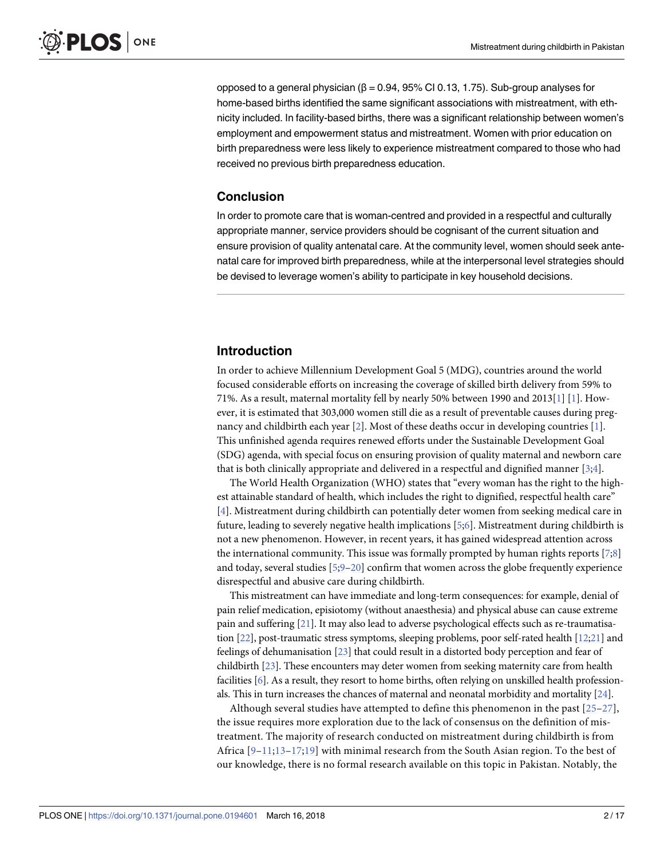<span id="page-1-0"></span>opposed to a general physician (β = 0.94, 95% CI 0.13, 1.75). Sub-group analyses for home-based births identified the same significant associations with mistreatment, with ethnicity included. In facility-based births, there was a significant relationship between women's employment and empowerment status and mistreatment. Women with prior education on birth preparedness were less likely to experience mistreatment compared to those who had received no previous birth preparedness education.

# **Conclusion**

In order to promote care that is woman-centred and provided in a respectful and culturally appropriate manner, service providers should be cognisant of the current situation and ensure provision of quality antenatal care. At the community level, women should seek antenatal care for improved birth preparedness, while at the interpersonal level strategies should be devised to leverage women's ability to participate in key household decisions.

# **Introduction**

In order to achieve Millennium Development Goal 5 (MDG), countries around the world focused considerable efforts on increasing the coverage of skilled birth delivery from 59% to 71%. As a result, maternal mortality fell by nearly 50% between 1990 and 2013[\[1\]](#page-12-0) [[1\]](#page-12-0). However, it is estimated that 303,000 women still die as a result of preventable causes during pregnancy and childbirth each year [\[2\]](#page-13-0). Most of these deaths occur in developing countries [\[1\]](#page-12-0). This unfinished agenda requires renewed efforts under the Sustainable Development Goal (SDG) agenda, with special focus on ensuring provision of quality maternal and newborn care that is both clinically appropriate and delivered in a respectful and dignified manner [[3;4\]](#page-13-0).

The World Health Organization (WHO) states that "every woman has the right to the highest attainable standard of health, which includes the right to dignified, respectful health care" [\[4](#page-13-0)]. Mistreatment during childbirth can potentially deter women from seeking medical care in future, leading to severely negative health implications [\[5;6](#page-13-0)]. Mistreatment during childbirth is not a new phenomenon. However, in recent years, it has gained widespread attention across the international community. This issue was formally prompted by human rights reports [\[7;8\]](#page-13-0) and today, several studies [[5](#page-13-0);[9](#page-13-0)–[20\]](#page-13-0) confirm that women across the globe frequently experience disrespectful and abusive care during childbirth.

This mistreatment can have immediate and long-term consequences: for example, denial of pain relief medication, episiotomy (without anaesthesia) and physical abuse can cause extreme pain and suffering [\[21\]](#page-13-0). It may also lead to adverse psychological effects such as re-traumatisation [\[22\]](#page-13-0), post-traumatic stress symptoms, sleeping problems, poor self-rated health [\[12;21](#page-13-0)] and feelings of dehumanisation [[23\]](#page-14-0) that could result in a distorted body perception and fear of childbirth [[23\]](#page-14-0). These encounters may deter women from seeking maternity care from health facilities [[6](#page-13-0)]. As a result, they resort to home births, often relying on unskilled health professionals. This in turn increases the chances of maternal and neonatal morbidity and mortality [\[24\]](#page-14-0).

Although several studies have attempted to define this phenomenon in the past  $[25-27]$  $[25-27]$  $[25-27]$  $[25-27]$ , the issue requires more exploration due to the lack of consensus on the definition of mistreatment. The majority of research conducted on mistreatment during childbirth is from Africa  $[9-11,13-17,19]$  $[9-11,13-17,19]$  $[9-11,13-17,19]$  with minimal research from the South Asian region. To the best of our knowledge, there is no formal research available on this topic in Pakistan. Notably, the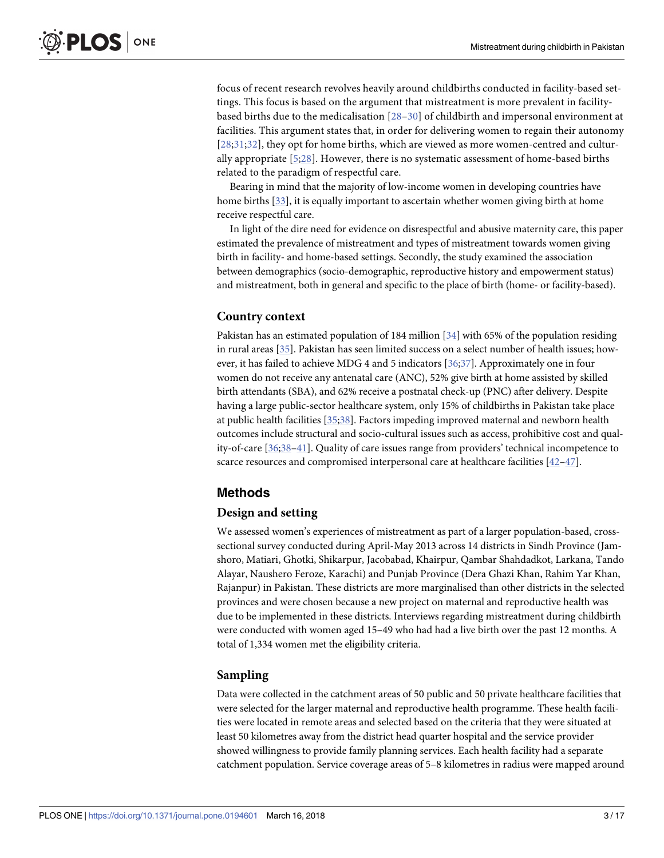<span id="page-2-0"></span>focus of recent research revolves heavily around childbirths conducted in facility-based settings. This focus is based on the argument that mistreatment is more prevalent in facilitybased births due to the medicalisation [[28–30\]](#page-14-0) of childbirth and impersonal environment at facilities. This argument states that, in order for delivering women to regain their autonomy [[28](#page-14-0);[31;32\]](#page-14-0), they opt for home births, which are viewed as more women-centred and culturally appropriate [\[5](#page-13-0);[28](#page-14-0)]. However, there is no systematic assessment of home-based births related to the paradigm of respectful care.

Bearing in mind that the majority of low-income women in developing countries have home births [[33](#page-14-0)], it is equally important to ascertain whether women giving birth at home receive respectful care.

In light of the dire need for evidence on disrespectful and abusive maternity care, this paper estimated the prevalence of mistreatment and types of mistreatment towards women giving birth in facility- and home-based settings. Secondly, the study examined the association between demographics (socio-demographic, reproductive history and empowerment status) and mistreatment, both in general and specific to the place of birth (home- or facility-based).

# **Country context**

Pakistan has an estimated population of 184 million [[34](#page-14-0)] with 65% of the population residing in rural areas [[35](#page-14-0)]. Pakistan has seen limited success on a select number of health issues; how-ever, it has failed to achieve MDG 4 and 5 indicators [\[36;37](#page-14-0)]. Approximately one in four women do not receive any antenatal care (ANC), 52% give birth at home assisted by skilled birth attendants (SBA), and 62% receive a postnatal check-up (PNC) after delivery. Despite having a large public-sector healthcare system, only 15% of childbirths in Pakistan take place at public health facilities [[35](#page-14-0);[38\]](#page-14-0). Factors impeding improved maternal and newborn health outcomes include structural and socio-cultural issues such as access, prohibitive cost and quality-of-care [\[36;38–41](#page-14-0)]. Quality of care issues range from providers' technical incompetence to scarce resources and compromised interpersonal care at healthcare facilities [[42–47\]](#page-14-0).

# **Methods**

# **Design and setting**

We assessed women's experiences of mistreatment as part of a larger population-based, crosssectional survey conducted during April-May 2013 across 14 districts in Sindh Province (Jamshoro, Matiari, Ghotki, Shikarpur, Jacobabad, Khairpur, Qambar Shahdadkot, Larkana, Tando Alayar, Naushero Feroze, Karachi) and Punjab Province (Dera Ghazi Khan, Rahim Yar Khan, Rajanpur) in Pakistan. These districts are more marginalised than other districts in the selected provinces and were chosen because a new project on maternal and reproductive health was due to be implemented in these districts. Interviews regarding mistreatment during childbirth were conducted with women aged 15–49 who had had a live birth over the past 12 months. A total of 1,334 women met the eligibility criteria.

# **Sampling**

Data were collected in the catchment areas of 50 public and 50 private healthcare facilities that were selected for the larger maternal and reproductive health programme. These health facilities were located in remote areas and selected based on the criteria that they were situated at least 50 kilometres away from the district head quarter hospital and the service provider showed willingness to provide family planning services. Each health facility had a separate catchment population. Service coverage areas of 5–8 kilometres in radius were mapped around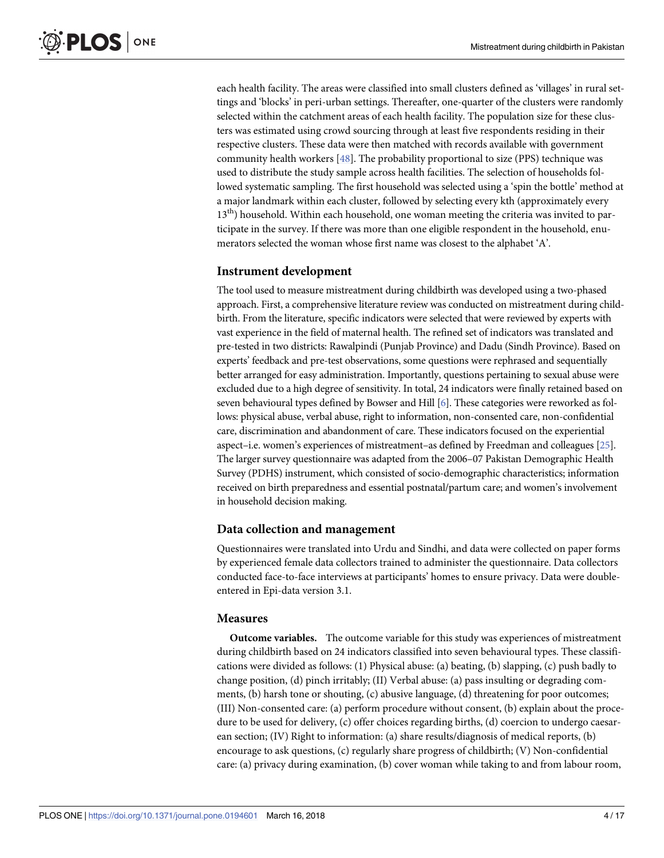<span id="page-3-0"></span>each health facility. The areas were classified into small clusters defined as 'villages' in rural settings and 'blocks' in peri-urban settings. Thereafter, one-quarter of the clusters were randomly selected within the catchment areas of each health facility. The population size for these clusters was estimated using crowd sourcing through at least five respondents residing in their respective clusters. These data were then matched with records available with government community health workers [\[48\]](#page-15-0). The probability proportional to size (PPS) technique was used to distribute the study sample across health facilities. The selection of households followed systematic sampling. The first household was selected using a 'spin the bottle' method at a major landmark within each cluster, followed by selecting every kth (approximately every  $13<sup>th</sup>$ ) household. Within each household, one woman meeting the criteria was invited to participate in the survey. If there was more than one eligible respondent in the household, enumerators selected the woman whose first name was closest to the alphabet 'A'.

# **Instrument development**

The tool used to measure mistreatment during childbirth was developed using a two-phased approach. First, a comprehensive literature review was conducted on mistreatment during childbirth. From the literature, specific indicators were selected that were reviewed by experts with vast experience in the field of maternal health. The refined set of indicators was translated and pre-tested in two districts: Rawalpindi (Punjab Province) and Dadu (Sindh Province). Based on experts' feedback and pre-test observations, some questions were rephrased and sequentially better arranged for easy administration. Importantly, questions pertaining to sexual abuse were excluded due to a high degree of sensitivity. In total, 24 indicators were finally retained based on seven behavioural types defined by Bowser and Hill [\[6](#page-13-0)]. These categories were reworked as follows: physical abuse, verbal abuse, right to information, non-consented care, non-confidential care, discrimination and abandonment of care. These indicators focused on the experiential aspect–i.e. women's experiences of mistreatment–as defined by Freedman and colleagues [\[25\]](#page-14-0). The larger survey questionnaire was adapted from the 2006–07 Pakistan Demographic Health Survey (PDHS) instrument, which consisted of socio-demographic characteristics; information received on birth preparedness and essential postnatal/partum care; and women's involvement in household decision making.

#### **Data collection and management**

Questionnaires were translated into Urdu and Sindhi, and data were collected on paper forms by experienced female data collectors trained to administer the questionnaire. Data collectors conducted face-to-face interviews at participants' homes to ensure privacy. Data were doubleentered in Epi-data version 3.1.

#### **Measures**

**Outcome variables.** The outcome variable for this study was experiences of mistreatment during childbirth based on 24 indicators classified into seven behavioural types. These classifications were divided as follows: (1) Physical abuse: (a) beating, (b) slapping, (c) push badly to change position, (d) pinch irritably; (II) Verbal abuse: (a) pass insulting or degrading comments, (b) harsh tone or shouting, (c) abusive language, (d) threatening for poor outcomes; (III) Non-consented care: (a) perform procedure without consent, (b) explain about the procedure to be used for delivery, (c) offer choices regarding births, (d) coercion to undergo caesarean section; (IV) Right to information: (a) share results/diagnosis of medical reports, (b) encourage to ask questions, (c) regularly share progress of childbirth; (V) Non-confidential care: (a) privacy during examination, (b) cover woman while taking to and from labour room,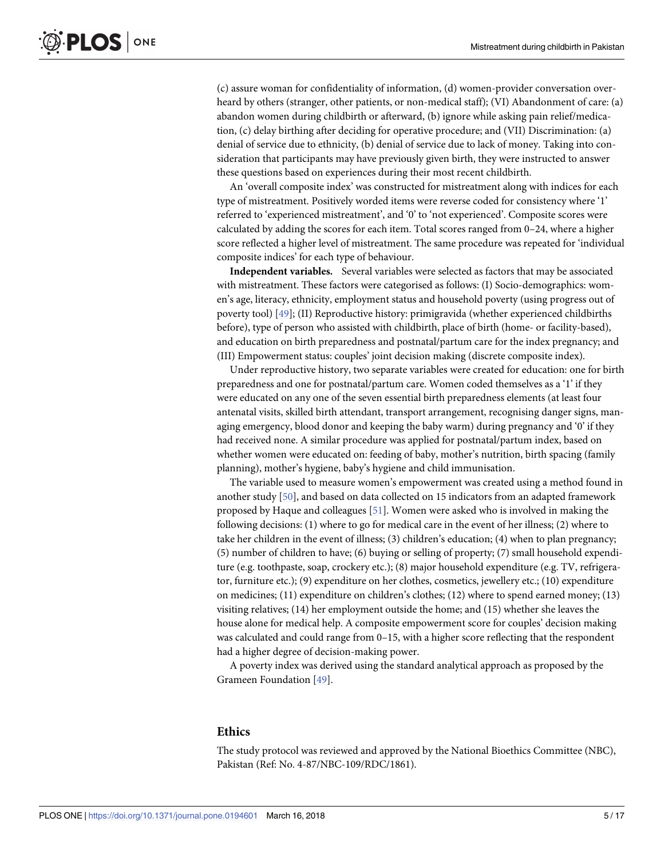<span id="page-4-0"></span>(c) assure woman for confidentiality of information, (d) women-provider conversation overheard by others (stranger, other patients, or non-medical staff); (VI) Abandonment of care: (a) abandon women during childbirth or afterward, (b) ignore while asking pain relief/medication, (c) delay birthing after deciding for operative procedure; and (VII) Discrimination: (a) denial of service due to ethnicity, (b) denial of service due to lack of money. Taking into consideration that participants may have previously given birth, they were instructed to answer these questions based on experiences during their most recent childbirth.

An 'overall composite index' was constructed for mistreatment along with indices for each type of mistreatment. Positively worded items were reverse coded for consistency where '1' referred to 'experienced mistreatment', and '0' to 'not experienced'. Composite scores were calculated by adding the scores for each item. Total scores ranged from 0–24, where a higher score reflected a higher level of mistreatment. The same procedure was repeated for 'individual composite indices' for each type of behaviour.

**Independent variables.** Several variables were selected as factors that may be associated with mistreatment. These factors were categorised as follows: (I) Socio-demographics: women's age, literacy, ethnicity, employment status and household poverty (using progress out of poverty tool) [\[49\]](#page-15-0); (II) Reproductive history: primigravida (whether experienced childbirths before), type of person who assisted with childbirth, place of birth (home- or facility-based), and education on birth preparedness and postnatal/partum care for the index pregnancy; and (III) Empowerment status: couples' joint decision making (discrete composite index).

Under reproductive history, two separate variables were created for education: one for birth preparedness and one for postnatal/partum care. Women coded themselves as a '1' if they were educated on any one of the seven essential birth preparedness elements (at least four antenatal visits, skilled birth attendant, transport arrangement, recognising danger signs, managing emergency, blood donor and keeping the baby warm) during pregnancy and '0' if they had received none. A similar procedure was applied for postnatal/partum index, based on whether women were educated on: feeding of baby, mother's nutrition, birth spacing (family planning), mother's hygiene, baby's hygiene and child immunisation.

The variable used to measure women's empowerment was created using a method found in another study [[50](#page-15-0)], and based on data collected on 15 indicators from an adapted framework proposed by Haque and colleagues [[51](#page-15-0)]. Women were asked who is involved in making the following decisions: (1) where to go for medical care in the event of her illness; (2) where to take her children in the event of illness; (3) children's education; (4) when to plan pregnancy; (5) number of children to have; (6) buying or selling of property; (7) small household expenditure (e.g. toothpaste, soap, crockery etc.); (8) major household expenditure (e.g. TV, refrigerator, furniture etc.); (9) expenditure on her clothes, cosmetics, jewellery etc.; (10) expenditure on medicines; (11) expenditure on children's clothes; (12) where to spend earned money; (13) visiting relatives; (14) her employment outside the home; and (15) whether she leaves the house alone for medical help. A composite empowerment score for couples' decision making was calculated and could range from 0–15, with a higher score reflecting that the respondent had a higher degree of decision-making power.

A poverty index was derived using the standard analytical approach as proposed by the Grameen Foundation [\[49\]](#page-15-0).

#### **Ethics**

The study protocol was reviewed and approved by the National Bioethics Committee (NBC), Pakistan (Ref: No. 4-87/NBC-109/RDC/1861).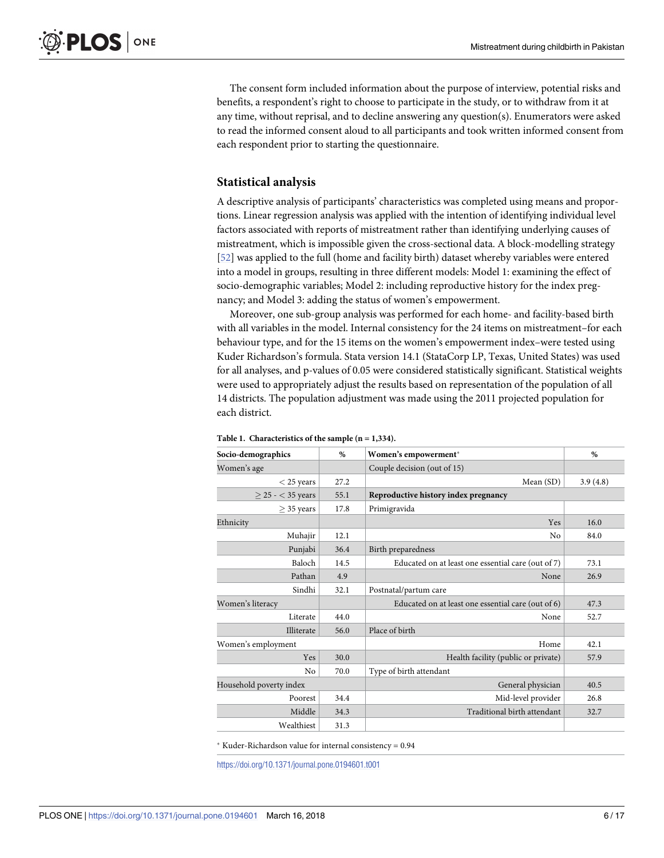<span id="page-5-0"></span>The consent form included information about the purpose of interview, potential risks and benefits, a respondent's right to choose to participate in the study, or to withdraw from it at any time, without reprisal, and to decline answering any question(s). Enumerators were asked to read the informed consent aloud to all participants and took written informed consent from each respondent prior to starting the questionnaire.

# **Statistical analysis**

A descriptive analysis of participants' characteristics was completed using means and proportions. Linear regression analysis was applied with the intention of identifying individual level factors associated with reports of mistreatment rather than identifying underlying causes of mistreatment, which is impossible given the cross-sectional data. A block-modelling strategy [\[52\]](#page-15-0) was applied to the full (home and facility birth) dataset whereby variables were entered into a model in groups, resulting in three different models: Model 1: examining the effect of socio-demographic variables; Model 2: including reproductive history for the index pregnancy; and Model 3: adding the status of women's empowerment.

Moreover, one sub-group analysis was performed for each home- and facility-based birth with all variables in the model. Internal consistency for the 24 items on mistreatment–for each behaviour type, and for the 15 items on the women's empowerment index–were tested using Kuder Richardson's formula. Stata version 14.1 (StataCorp LP, Texas, United States) was used for all analyses, and p-values of 0.05 were considered statistically significant. Statistical weights were used to appropriately adjust the results based on representation of the population of all 14 districts. The population adjustment was made using the 2011 projected population for each district.

| Socio-demographics      | $\%$ | Women's empowerment*                               | $\%$     |  |  |  |  |
|-------------------------|------|----------------------------------------------------|----------|--|--|--|--|
| Women's age             |      | Couple decision (out of 15)                        |          |  |  |  |  |
| $<$ 25 years            | 27.2 | Mean (SD)                                          | 3.9(4.8) |  |  |  |  |
| $>$ 25 - $<$ 35 years   | 55.1 | Reproductive history index pregnancy               |          |  |  |  |  |
| $>$ 35 years            | 17.8 | Primigravida                                       |          |  |  |  |  |
| Ethnicity               |      | Yes                                                | 16.0     |  |  |  |  |
| Muhajir                 | 12.1 | No                                                 | 84.0     |  |  |  |  |
| Punjabi                 | 36.4 | Birth preparedness                                 |          |  |  |  |  |
| Baloch                  | 14.5 | Educated on at least one essential care (out of 7) | 73.1     |  |  |  |  |
| Pathan                  | 4.9  | None                                               | 26.9     |  |  |  |  |
| Sindhi                  | 32.1 | Postnatal/partum care                              |          |  |  |  |  |
| Women's literacy        |      | Educated on at least one essential care (out of 6) | 47.3     |  |  |  |  |
| Literate                | 44.0 | None                                               | 52.7     |  |  |  |  |
| Illiterate              | 56.0 | Place of birth                                     |          |  |  |  |  |
| Women's employment      |      | Home                                               | 42.1     |  |  |  |  |
| <b>Yes</b>              | 30.0 | Health facility (public or private)                | 57.9     |  |  |  |  |
| No                      | 70.0 | Type of birth attendant                            |          |  |  |  |  |
| Household poverty index |      | General physician                                  | 40.5     |  |  |  |  |
| Poorest                 | 34.4 | Mid-level provider                                 | 26.8     |  |  |  |  |
| Middle                  | 34.3 | Traditional birth attendant                        | 32.7     |  |  |  |  |
| Wealthiest              | 31.3 |                                                    |          |  |  |  |  |

#### **[Table](#page-6-0) 1. Characteristics of the sample (n = 1,334).**

 $*$  Kuder-Richardson value for internal consistency =  $0.94$ 

<https://doi.org/10.1371/journal.pone.0194601.t001>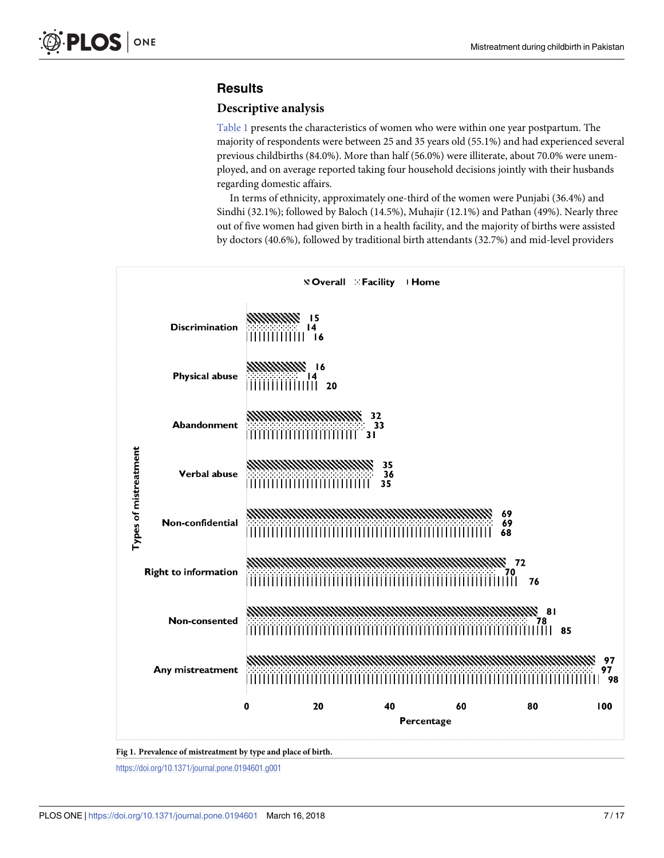# <span id="page-6-0"></span>**Results**

#### **Descriptive analysis**

[Table](#page-5-0) 1 presents the characteristics of women who were within one year postpartum. The majority of respondents were between 25 and 35 years old (55.1%) and had experienced several previous childbirths (84.0%). More than half (56.0%) were illiterate, about 70.0% were unemployed, and on average reported taking four household decisions jointly with their husbands regarding domestic affairs.

In terms of ethnicity, approximately one-third of the women were Punjabi (36.4%) and Sindhi (32.1%); followed by Baloch (14.5%), Muhajir (12.1%) and Pathan (49%). Nearly three out of five women had given birth in a health facility, and the majority of births were assisted by doctors (40.6%), followed by traditional birth attendants (32.7%) and mid-level providers



**[Fig](#page-7-0) 1. Prevalence of mistreatment by type and place of birth.**

<https://doi.org/10.1371/journal.pone.0194601.g001>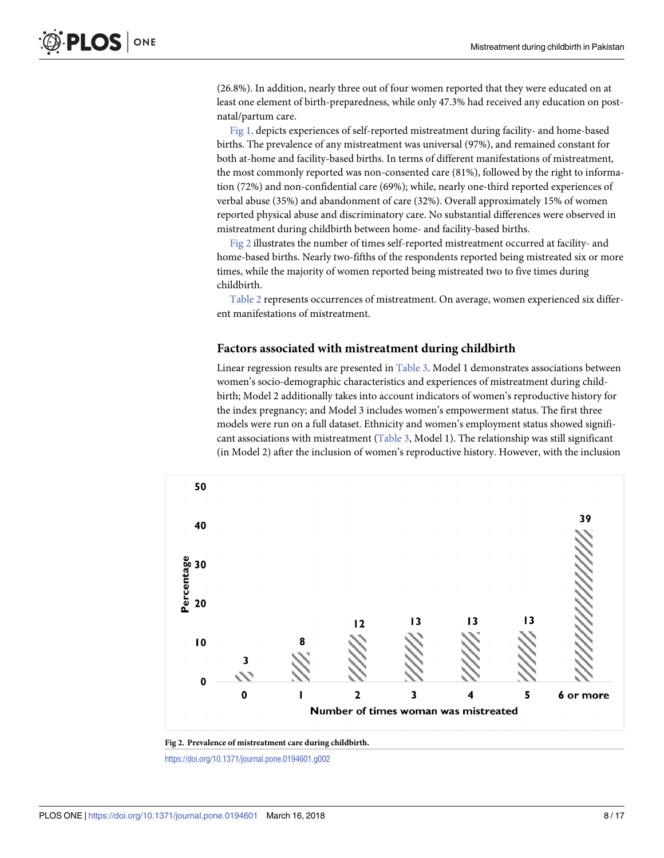<span id="page-7-0"></span>(26.8%). In addition, nearly three out of four women reported that they were educated on at least one element of birth-preparedness, while only 47.3% had received any education on postnatal/partum care.

[Fig](#page-6-0) 1. depicts experiences of self-reported mistreatment during facility- and home-based births. The prevalence of any mistreatment was universal (97%), and remained constant for both at-home and facility-based births. In terms of different manifestations of mistreatment, the most commonly reported was non-consented care (81%), followed by the right to information (72%) and non-confidential care (69%); while, nearly one-third reported experiences of verbal abuse (35%) and abandonment of care (32%). Overall approximately 15% of women reported physical abuse and discriminatory care. No substantial differences were observed in mistreatment during childbirth between home- and facility-based births.

Fig 2 illustrates the number of times self-reported mistreatment occurred at facility- and home-based births. Nearly two-fifths of the respondents reported being mistreated six or more times, while the majority of women reported being mistreated two to five times during childbirth.

[Table](#page-8-0) 2 represents occurrences of mistreatment. On average, women experienced six different manifestations of mistreatment.

#### **Factors associated with mistreatment during childbirth**

Linear regression results are presented in [Table](#page-9-0) 3. Model 1 demonstrates associations between women's socio-demographic characteristics and experiences of mistreatment during childbirth; Model 2 additionally takes into account indicators of women's reproductive history for the index pregnancy; and Model 3 includes women's empowerment status. The first three models were run on a full dataset. Ethnicity and women's employment status showed significant associations with mistreatment [\(Table](#page-9-0) 3, Model 1). The relationship was still significant (in Model 2) after the inclusion of women's reproductive history. However, with the inclusion





<https://doi.org/10.1371/journal.pone.0194601.g002>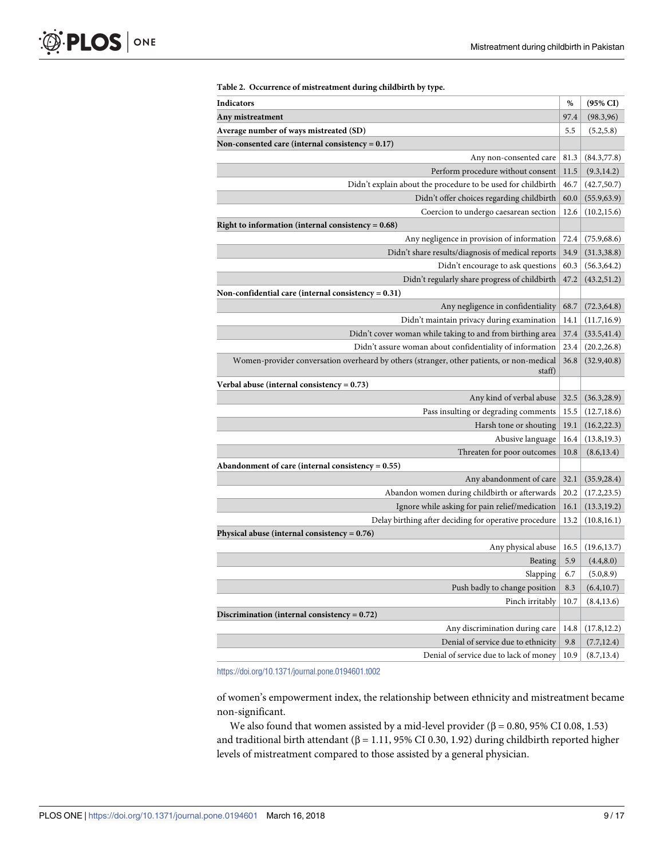<span id="page-8-0"></span>

| Indicators                                                                                | %    | (95% CI)     |
|-------------------------------------------------------------------------------------------|------|--------------|
| Any mistreatment                                                                          | 97.4 | (98.3, 96)   |
| Average number of ways mistreated (SD)                                                    | 5.5  | (5.2, 5.8)   |
| Non-consented care (internal consistency = $0.17$ )                                       |      |              |
| Any non-consented care                                                                    | 81.3 | (84.3,77.8)  |
| Perform procedure without consent                                                         | 11.5 | (9.3, 14.2)  |
| Didn't explain about the procedure to be used for childbirth                              | 46.7 | (42.7, 50.7) |
| Didn't offer choices regarding childbirth                                                 | 60.0 | (55.9, 63.9) |
| Coercion to undergo caesarean section                                                     | 12.6 | (10.2, 15.6) |
| Right to information (internal consistency = $0.68$ )                                     |      |              |
| Any negligence in provision of information                                                | 72.4 | (75.9, 68.6) |
| Didn't share results/diagnosis of medical reports                                         | 34.9 | (31.3, 38.8) |
| Didn't encourage to ask questions                                                         | 60.3 | (56.3, 64.2) |
| Didn't regularly share progress of childbirth                                             | 47.2 | (43.2, 51.2) |
| Non-confidential care (internal consistency = $0.31$ )                                    |      |              |
| Any negligence in confidentiality                                                         | 68.7 | (72.3, 64.8) |
| Didn't maintain privacy during examination                                                | 14.1 | (11.7, 16.9) |
| Didn't cover woman while taking to and from birthing area                                 | 37.4 | (33.5, 41.4) |
| Didn't assure woman about confidentiality of information                                  | 23.4 | (20.2, 26.8) |
| Women-provider conversation overheard by others (stranger, other patients, or non-medical | 36.8 | (32.9, 40.8) |
| staff)                                                                                    |      |              |
| Verbal abuse (internal consistency = $0.73$ )                                             |      |              |
| Any kind of verbal abuse                                                                  | 32.5 | (36.3, 28.9) |
| Pass insulting or degrading comments                                                      | 15.5 | (12.7, 18.6) |
| Harsh tone or shouting                                                                    | 19.1 | (16.2, 22.3) |
| Abusive language                                                                          | 16.4 | (13.8, 19.3) |
| Threaten for poor outcomes                                                                | 10.8 | (8.6, 13.4)  |
| Abandonment of care (internal consistency = $0.55$ )                                      |      |              |
| Any abandonment of care                                                                   | 32.1 | (35.9, 28.4) |
| Abandon women during childbirth or afterwards                                             | 20.2 | (17.2, 23.5) |
| Ignore while asking for pain relief/medication                                            | 16.1 | (13.3, 19.2) |
| Delay birthing after deciding for operative procedure                                     | 13.2 | (10.8, 16.1) |
| Physical abuse (internal consistency = $0.76$ )                                           |      |              |
| Any physical abuse                                                                        | 16.5 | (19.6, 13.7) |
| Beating                                                                                   | 5.9  | (4.4, 8.0)   |
| Slapping                                                                                  | 6.7  | (5.0, 8.9)   |
| Push badly to change position                                                             | 8.3  | (6.4, 10.7)  |
| Pinch irritably                                                                           | 10.7 | (8.4, 13.6)  |
| Discrimination (internal consistency = $0.72$ )                                           |      |              |
| Any discrimination during care                                                            | 14.8 | (17.8, 12.2) |
| Denial of service due to ethnicity                                                        | 9.8  | (7.7, 12.4)  |
|                                                                                           |      |              |

#### **[Table](#page-7-0) 2. Occurrence of mistreatment during childbirth by type.**

<https://doi.org/10.1371/journal.pone.0194601.t002>

of women's empowerment index, the relationship between ethnicity and mistreatment became non-significant.

We also found that women assisted by a mid-level provider (β = 0.80, 95% CI 0.08, 1.53) and traditional birth attendant (β = 1.11, 95% CI 0.30, 1.92) during childbirth reported higher levels of mistreatment compared to those assisted by a general physician.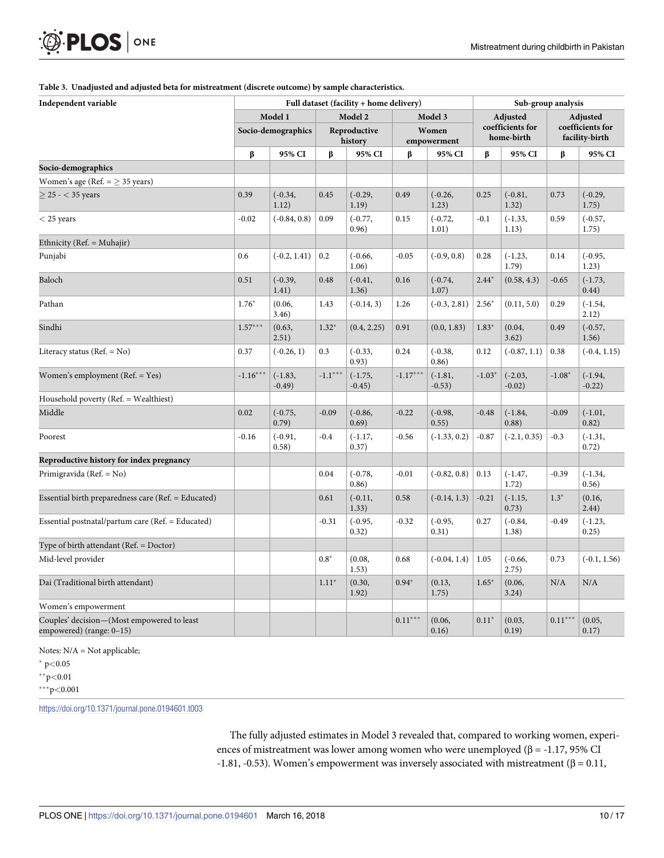#### **[Table](#page-7-0) 3. Unadjusted and adjusted beta for mistreatment (discrete outcome) by sample characteristics.**

| Independent variable                                                   | Full dataset (facility + home delivery) |                       |                                    |                       |                                 |                       | Sub-group analysis                         |                        |                                                |                        |
|------------------------------------------------------------------------|-----------------------------------------|-----------------------|------------------------------------|-----------------------|---------------------------------|-----------------------|--------------------------------------------|------------------------|------------------------------------------------|------------------------|
|                                                                        | Model 1<br>Socio-demographics           |                       | Model 2<br>Reproductive<br>history |                       | Model 3<br>Women<br>empowerment |                       | Adjusted<br>coefficients for<br>home-birth |                        | Adjusted<br>coefficients for<br>facility-birth |                        |
|                                                                        |                                         |                       |                                    |                       |                                 |                       |                                            |                        |                                                |                        |
|                                                                        | β                                       | 95% CI                | β                                  | 95% CI                | β                               | 95% CI                | β                                          | 95% CI                 | β                                              | 95% CI                 |
| Socio-demographics                                                     |                                         |                       |                                    |                       |                                 |                       |                                            |                        |                                                |                        |
| Women's age (Ref. $=$ $>$ 35 years)                                    |                                         |                       |                                    |                       |                                 |                       |                                            |                        |                                                |                        |
| $> 25 - < 35$ years                                                    | 0.39                                    | $(-0.34,$<br>1.12)    | 0.45                               | $(-0.29,$<br>1.19)    | 0.49                            | $(-0.26,$<br>1.23)    | 0.25                                       | $(-0.81,$<br>1.32)     | 0.73                                           | $(-0.29,$<br>1.75)     |
| $<$ 25 years                                                           | $-0.02$                                 | $(-0.84, 0.8)$        | 0.09                               | $(-0.77,$<br>0.96)    | 0.15                            | $(-0.72,$<br>1.01)    | $-0.1$                                     | $(-1.33,$<br>1.13)     | 0.59                                           | $(-0.57,$<br>1.75)     |
| Ethnicity (Ref. = Muhajir)                                             |                                         |                       |                                    |                       |                                 |                       |                                            |                        |                                                |                        |
| Punjabi                                                                | 0.6                                     | $(-0.2, 1.41)$        | 0.2                                | $(-0.66,$<br>1.06)    | $-0.05$                         | $(-0.9, 0.8)$         | 0.28                                       | $(-1.23,$<br>1.79)     | 0.14                                           | $(-0.95,$<br>1.23)     |
| Baloch                                                                 | 0.51                                    | $(-0.39,$<br>1.41)    | 0.48                               | $(-0.41,$<br>1.36)    | 0.16                            | $(-0.74,$<br>1.07)    | $2.44*$                                    | (0.58, 4.3)            | $-0.65$                                        | $(-1.73,$<br>0.44)     |
| Pathan                                                                 | $1.76*$                                 | (0.06,<br>3.46)       | 1.43                               | $(-0.14, 3)$          | 1.26                            | $(-0.3, 2.81)$        | $2.56*$                                    | (0.11, 5.0)            | 0.29                                           | $(-1.54,$<br>2.12)     |
| Sindhi                                                                 | $1.57***$                               | (0.63,<br>2.51)       | $1.32*$                            | (0.4, 2.25)           | 0.91                            | (0.0, 1.83)           | $1.83*$                                    | (0.04,<br>3.62)        | 0.49                                           | $(-0.57,$<br>1.56)     |
| Literacy status ( $Ref. = No$ )                                        | 0.37                                    | $(-0.26, 1)$          | 0.3                                | $(-0.33,$<br>0.93)    | 0.24                            | $(-0.38,$<br>0.86)    | 0.12                                       | $(-0.87, 1.1)$         | 0.38                                           | $(-0.4, 1.15)$         |
| Women's employment (Ref. = Yes)                                        | $-1.16***$                              | $(-1.83,$<br>$-0.49)$ | $-1.1***$                          | $(-1.75,$<br>$-0.45)$ | $-1.17***$                      | $(-1.81,$<br>$-0.53)$ | $-1.03*$                                   | $(-2.03,$<br>$-0.02$ ) | $-1.08*$                                       | $(-1.94,$<br>$-0.22$ ) |
| Household poverty (Ref. = Wealthiest)                                  |                                         |                       |                                    |                       |                                 |                       |                                            |                        |                                                |                        |
| Middle                                                                 | 0.02                                    | $(-0.75,$<br>0.79)    | $-0.09$                            | $(-0.86,$<br>0.69)    | $-0.22$                         | $(-0.98,$<br>0.55)    | $-0.48$                                    | $(-1.84,$<br>0.88)     | $-0.09$                                        | $(-1.01,$<br>0.82)     |
| Poorest                                                                | $-0.16$                                 | $(-0.91,$<br>0.58)    | $-0.4$                             | $(-1.17,$<br>0.37)    | $-0.56$                         | $(-1.33, 0.2)$        | $-0.87$                                    | $(-2.1, 0.35)$         | $-0.3$                                         | $(-1.31,$<br>0.72)     |
| Reproductive history for index pregnancy                               |                                         |                       |                                    |                       |                                 |                       |                                            |                        |                                                |                        |
| Primigravida (Ref. = No)                                               |                                         |                       | 0.04                               | $(-0.78,$<br>0.86)    | $-0.01$                         | $(-0.82, 0.8)$        | 0.13                                       | $(-1.47,$<br>1.72)     | $-0.39$                                        | $(-1.34,$<br>0.56)     |
| Essential birth preparedness care (Ref. = Educated)                    |                                         |                       | 0.61                               | $(-0.11,$<br>1.33)    | 0.58                            | $(-0.14, 1.3)$        | $-0.21$                                    | $(-1.15,$<br>0.73)     | $1.3*$                                         | (0.16,<br>2.44)        |
| Essential postnatal/partum care (Ref. = Educated)                      |                                         |                       | $-0.31$                            | $(-0.95,$<br>0.32)    | $-0.32$                         | $(-0.95,$<br>0.31)    | 0.27                                       | $(-0.84,$<br>1.38)     | $-0.49$                                        | $(-1.23,$<br>0.25)     |
| Type of birth attendant ( $Ref. = Doctor$ )                            |                                         |                       |                                    |                       |                                 |                       |                                            |                        |                                                |                        |
| Mid-level provider                                                     |                                         |                       | $0.8*$                             | (0.08,<br>1.53)       | 0.68                            | $(-0.04, 1.4)$        | 1.05                                       | $(-0.66,$<br>2.75)     | 0.73                                           | $(-0.1, 1.56)$         |
| Dai (Traditional birth attendant)                                      |                                         |                       | $1.11*$                            | (0.30,<br>1.92)       | $0.94*$                         | (0.13,<br>1.75)       | $1.65*$                                    | (0.06,<br>3.24)        | N/A                                            | N/A                    |
| Women's empowerment                                                    |                                         |                       |                                    |                       |                                 |                       |                                            |                        |                                                |                        |
| Couples' decision-(Most empowered to least<br>empowered) (range: 0-15) |                                         |                       |                                    |                       | $0.11***$                       | (0.06,<br>0.16)       | $0.11*$                                    | (0.03,<br>0.19)        | $0.11***$                                      | (0.05,<br>0.17)        |

Notes: N/A = Not applicable;

<span id="page-9-0"></span>O PLOS ONE

p*<*0.05

p*<*0.01

p*<*0.001

<https://doi.org/10.1371/journal.pone.0194601.t003>

The fully adjusted estimates in Model 3 revealed that, compared to working women, experiences of mistreatment was lower among women who were unemployed ( $\beta$  = -1.17, 95% CI -1.81, -0.53). Women's empowerment was inversely associated with mistreatment (β =  $0.11$ ,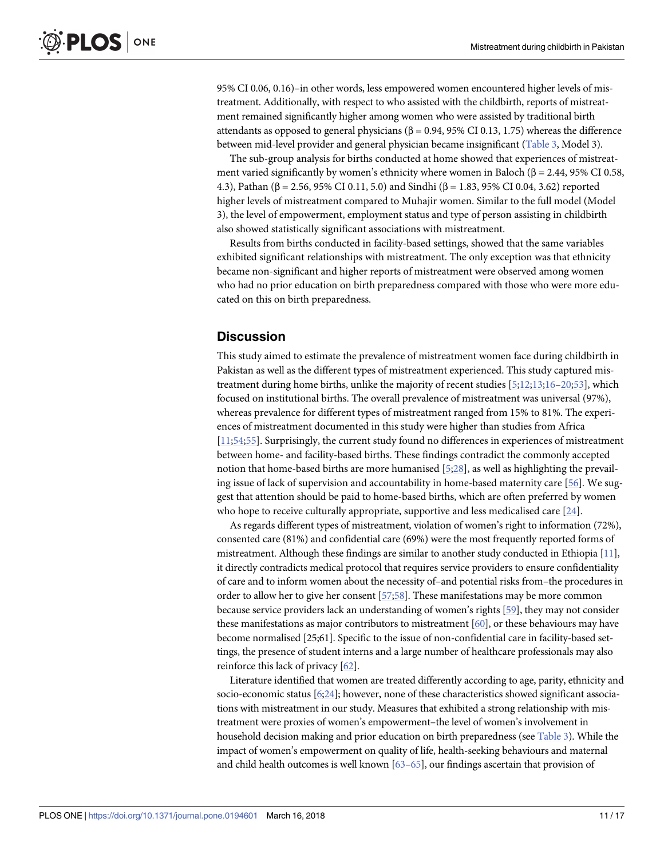<span id="page-10-0"></span>95% CI 0.06, 0.16)–in other words, less empowered women encountered higher levels of mistreatment. Additionally, with respect to who assisted with the childbirth, reports of mistreatment remained significantly higher among women who were assisted by traditional birth attendants as opposed to general physicians ( $β = 0.94$ , 95% CI 0.13, 1.75) whereas the difference between mid-level provider and general physician became insignificant ([Table](#page-9-0) 3, Model 3).

The sub-group analysis for births conducted at home showed that experiences of mistreatment varied significantly by women's ethnicity where women in Baloch ( $\beta$  = 2.44, 95% CI 0.58, 4.3), Pathan (β = 2.56, 95% CI 0.11, 5.0) and Sindhi (β = 1.83, 95% CI 0.04, 3.62) reported higher levels of mistreatment compared to Muhajir women. Similar to the full model (Model 3), the level of empowerment, employment status and type of person assisting in childbirth also showed statistically significant associations with mistreatment.

Results from births conducted in facility-based settings, showed that the same variables exhibited significant relationships with mistreatment. The only exception was that ethnicity became non-significant and higher reports of mistreatment were observed among women who had no prior education on birth preparedness compared with those who were more educated on this on birth preparedness.

# **Discussion**

This study aimed to estimate the prevalence of mistreatment women face during childbirth in Pakistan as well as the different types of mistreatment experienced. This study captured mistreatment during home births, unlike the majority of recent studies [\[5;12;13](#page-13-0);[16–20;](#page-13-0)[53\]](#page-15-0), which focused on institutional births. The overall prevalence of mistreatment was universal (97%), whereas prevalence for different types of mistreatment ranged from 15% to 81%. The experiences of mistreatment documented in this study were higher than studies from Africa [\[11](#page-13-0)[;54;55](#page-15-0)]. Surprisingly, the current study found no differences in experiences of mistreatment between home- and facility-based births. These findings contradict the commonly accepted notion that home-based births are more humanised [\[5](#page-13-0)[;28\]](#page-14-0), as well as highlighting the prevailing issue of lack of supervision and accountability in home-based maternity care [\[56\]](#page-15-0). We suggest that attention should be paid to home-based births, which are often preferred by women who hope to receive culturally appropriate, supportive and less medicalised care [\[24\]](#page-14-0).

As regards different types of mistreatment, violation of women's right to information (72%), consented care (81%) and confidential care (69%) were the most frequently reported forms of mistreatment. Although these findings are similar to another study conducted in Ethiopia [[11](#page-13-0)], it directly contradicts medical protocol that requires service providers to ensure confidentiality of care and to inform women about the necessity of–and potential risks from–the procedures in order to allow her to give her consent [\[57](#page-15-0);[58\]](#page-15-0). These manifestations may be more common because service providers lack an understanding of women's rights [[59](#page-15-0)], they may not consider these manifestations as major contributors to mistreatment [\[60](#page-15-0)], or these behaviours may have become normalised [25;61]. Specific to the issue of non-confidential care in facility-based settings, the presence of student interns and a large number of healthcare professionals may also reinforce this lack of privacy [[62](#page-15-0)].

Literature identified that women are treated differently according to age, parity, ethnicity and socio-economic status [\[6](#page-13-0)[;24](#page-14-0)]; however, none of these characteristics showed significant associations with mistreatment in our study. Measures that exhibited a strong relationship with mistreatment were proxies of women's empowerment–the level of women's involvement in household decision making and prior education on birth preparedness (see [Table](#page-9-0) 3). While the impact of women's empowerment on quality of life, health-seeking behaviours and maternal and child health outcomes is well known  $[63-65]$ , our findings ascertain that provision of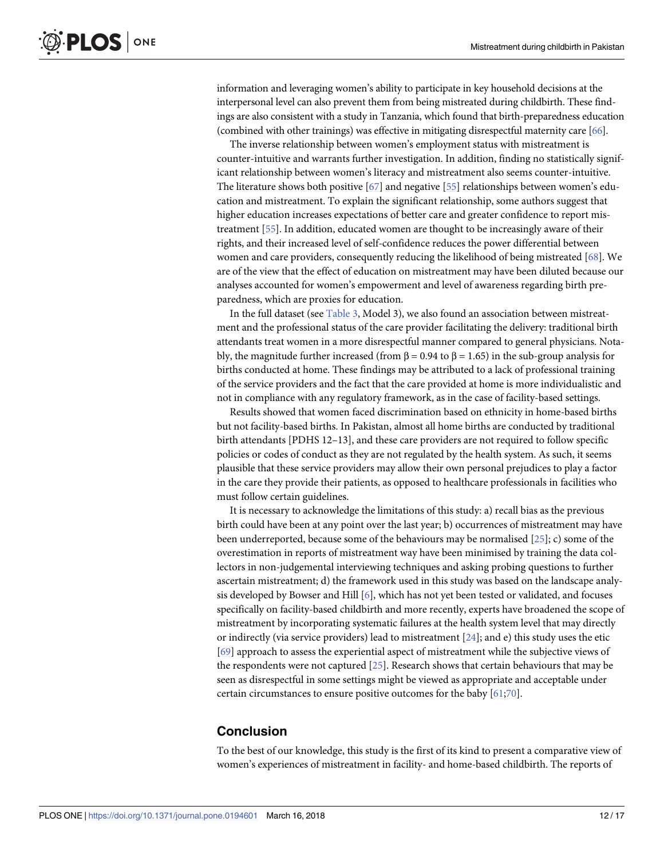<span id="page-11-0"></span>information and leveraging women's ability to participate in key household decisions at the interpersonal level can also prevent them from being mistreated during childbirth. These findings are also consistent with a study in Tanzania, which found that birth-preparedness education (combined with other trainings) was effective in mitigating disrespectful maternity care [\[66\]](#page-15-0).

The inverse relationship between women's employment status with mistreatment is counter-intuitive and warrants further investigation. In addition, finding no statistically significant relationship between women's literacy and mistreatment also seems counter-intuitive. The literature shows both positive [\[67\]](#page-15-0) and negative [[55](#page-15-0)] relationships between women's education and mistreatment. To explain the significant relationship, some authors suggest that higher education increases expectations of better care and greater confidence to report mistreatment [[55](#page-15-0)]. In addition, educated women are thought to be increasingly aware of their rights, and their increased level of self-confidence reduces the power differential between women and care providers, consequently reducing the likelihood of being mistreated [[68](#page-15-0)]. We are of the view that the effect of education on mistreatment may have been diluted because our analyses accounted for women's empowerment and level of awareness regarding birth preparedness, which are proxies for education.

In the full dataset (see [Table](#page-9-0) 3, Model 3), we also found an association between mistreatment and the professional status of the care provider facilitating the delivery: traditional birth attendants treat women in a more disrespectful manner compared to general physicians. Notably, the magnitude further increased (from β = 0.94 to β = 1.65) in the sub-group analysis for births conducted at home. These findings may be attributed to a lack of professional training of the service providers and the fact that the care provided at home is more individualistic and not in compliance with any regulatory framework, as in the case of facility-based settings.

Results showed that women faced discrimination based on ethnicity in home-based births but not facility-based births. In Pakistan, almost all home births are conducted by traditional birth attendants [PDHS 12–13], and these care providers are not required to follow specific policies or codes of conduct as they are not regulated by the health system. As such, it seems plausible that these service providers may allow their own personal prejudices to play a factor in the care they provide their patients, as opposed to healthcare professionals in facilities who must follow certain guidelines.

It is necessary to acknowledge the limitations of this study: a) recall bias as the previous birth could have been at any point over the last year; b) occurrences of mistreatment may have been underreported, because some of the behaviours may be normalised [[25](#page-14-0)]; c) some of the overestimation in reports of mistreatment way have been minimised by training the data collectors in non-judgemental interviewing techniques and asking probing questions to further ascertain mistreatment; d) the framework used in this study was based on the landscape analy-sis developed by Bowser and Hill [\[6\]](#page-13-0), which has not yet been tested or validated, and focuses specifically on facility-based childbirth and more recently, experts have broadened the scope of mistreatment by incorporating systematic failures at the health system level that may directly or indirectly (via service providers) lead to mistreatment [[24](#page-14-0)]; and e) this study uses the etic [\[69\]](#page-16-0) approach to assess the experiential aspect of mistreatment while the subjective views of the respondents were not captured [[25](#page-14-0)]. Research shows that certain behaviours that may be seen as disrespectful in some settings might be viewed as appropriate and acceptable under certain circumstances to ensure positive outcomes for the baby [\[61;](#page-15-0)[70](#page-16-0)].

# **Conclusion**

To the best of our knowledge, this study is the first of its kind to present a comparative view of women's experiences of mistreatment in facility- and home-based childbirth. The reports of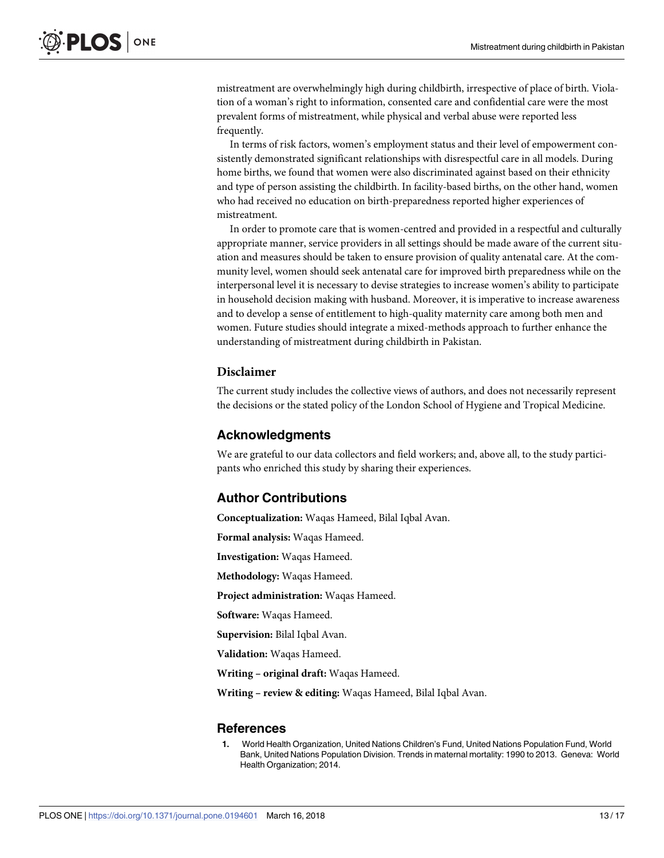<span id="page-12-0"></span>mistreatment are overwhelmingly high during childbirth, irrespective of place of birth. Violation of a woman's right to information, consented care and confidential care were the most prevalent forms of mistreatment, while physical and verbal abuse were reported less frequently.

In terms of risk factors, women's employment status and their level of empowerment consistently demonstrated significant relationships with disrespectful care in all models. During home births, we found that women were also discriminated against based on their ethnicity and type of person assisting the childbirth. In facility-based births, on the other hand, women who had received no education on birth-preparedness reported higher experiences of mistreatment.

In order to promote care that is women-centred and provided in a respectful and culturally appropriate manner, service providers in all settings should be made aware of the current situation and measures should be taken to ensure provision of quality antenatal care. At the community level, women should seek antenatal care for improved birth preparedness while on the interpersonal level it is necessary to devise strategies to increase women's ability to participate in household decision making with husband. Moreover, it is imperative to increase awareness and to develop a sense of entitlement to high-quality maternity care among both men and women. Future studies should integrate a mixed-methods approach to further enhance the understanding of mistreatment during childbirth in Pakistan.

# **Disclaimer**

The current study includes the collective views of authors, and does not necessarily represent the decisions or the stated policy of the London School of Hygiene and Tropical Medicine.

# **Acknowledgments**

We are grateful to our data collectors and field workers; and, above all, to the study participants who enriched this study by sharing their experiences.

# **Author Contributions**

**Conceptualization:** Waqas Hameed, Bilal Iqbal Avan.

**Formal analysis:** Waqas Hameed.

**Investigation:** Waqas Hameed.

**Methodology:** Waqas Hameed.

**Project administration:** Waqas Hameed.

**Software:** Waqas Hameed.

**Supervision:** Bilal Iqbal Avan.

**Validation:** Waqas Hameed.

**Writing – original draft:** Waqas Hameed.

**Writing – review & editing:** Waqas Hameed, Bilal Iqbal Avan.

#### **References**

**[1](#page-1-0).** World Health Organization, United Nations Children's Fund, United Nations Population Fund, World Bank, United Nations Population Division. Trends in maternal mortality: 1990 to 2013. Geneva: World Health Organization; 2014.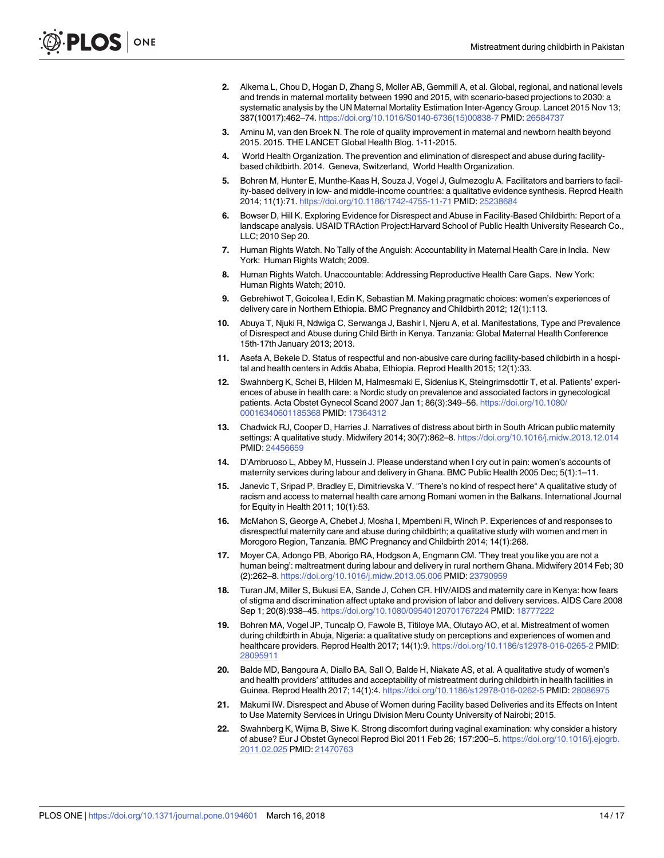- <span id="page-13-0"></span>**[2](#page-1-0).** Alkema L, Chou D, Hogan D, Zhang S, Moller AB, Gemmill A, et al. Global, regional, and national levels and trends in maternal mortality between 1990 and 2015, with scenario-based projections to 2030: a systematic analysis by the UN Maternal Mortality Estimation Inter-Agency Group. Lancet 2015 Nov 13; 387(10017):462–74. [https://doi.org/10.1016/S0140-6736\(15\)00838-7](https://doi.org/10.1016/S0140-6736(15)00838-7) PMID: [26584737](http://www.ncbi.nlm.nih.gov/pubmed/26584737)
- **[3](#page-1-0).** Aminu M, van den Broek N. The role of quality improvement in maternal and newborn health beyond 2015. 2015. THE LANCET Global Health Blog. 1-11-2015.
- **[4](#page-1-0).** World Health Organization. The prevention and elimination of disrespect and abuse during facilitybased childbirth. 2014. Geneva, Switzerland, World Health Organization.
- **[5](#page-1-0).** Bohren M, Hunter E, Munthe-Kaas H, Souza J, Vogel J, Gulmezoglu A. Facilitators and barriers to facility-based delivery in low- and middle-income countries: a qualitative evidence synthesis. Reprod Health 2014; 11(1):71. <https://doi.org/10.1186/1742-4755-11-71> PMID: [25238684](http://www.ncbi.nlm.nih.gov/pubmed/25238684)
- **[6](#page-1-0).** Bowser D, Hill K. Exploring Evidence for Disrespect and Abuse in Facility-Based Childbirth: Report of a landscape analysis. USAID TRAction Project:Harvard School of Public Health University Research Co., LLC; 2010 Sep 20.
- **[7](#page-1-0).** Human Rights Watch. No Tally of the Anguish: Accountability in Maternal Health Care in India. New York: Human Rights Watch; 2009.
- **[8](#page-1-0).** Human Rights Watch. Unaccountable: Addressing Reproductive Health Care Gaps. New York: Human Rights Watch; 2010.
- **[9](#page-1-0).** Gebrehiwot T, Goicolea I, Edin K, Sebastian M. Making pragmatic choices: women's experiences of delivery care in Northern Ethiopia. BMC Pregnancy and Childbirth 2012; 12(1):113.
- **10.** Abuya T, Njuki R, Ndwiga C, Serwanga J, Bashir I, Njeru A, et al. Manifestations, Type and Prevalence of Disrespect and Abuse during Child Birth in Kenya. Tanzania: Global Maternal Health Conference 15th-17th January 2013; 2013.
- **[11](#page-1-0).** Asefa A, Bekele D. Status of respectful and non-abusive care during facility-based childbirth in a hospital and health centers in Addis Ababa, Ethiopia. Reprod Health 2015; 12(1):33.
- **[12](#page-1-0).** Swahnberg K, Schei B, Hilden M, Halmesmaki E, Sidenius K, Steingrimsdottir T, et al. Patients' experiences of abuse in health care: a Nordic study on prevalence and associated factors in gynecological patients. Acta Obstet Gynecol Scand 2007 Jan 1; 86(3):349–56. [https://doi.org/10.1080/](https://doi.org/10.1080/00016340601185368) [00016340601185368](https://doi.org/10.1080/00016340601185368) PMID: [17364312](http://www.ncbi.nlm.nih.gov/pubmed/17364312)
- **[13](#page-1-0).** Chadwick RJ, Cooper D, Harries J. Narratives of distress about birth in South African public maternity settings: A qualitative study. Midwifery 2014; 30(7):862–8. <https://doi.org/10.1016/j.midw.2013.12.014> PMID: [24456659](http://www.ncbi.nlm.nih.gov/pubmed/24456659)
- **14.** D'Ambruoso L, Abbey M, Hussein J. Please understand when I cry out in pain: women's accounts of maternity services during labour and delivery in Ghana. BMC Public Health 2005 Dec; 5(1):1-11.
- **15.** Janevic T, Sripad P, Bradley E, Dimitrievska V. "There's no kind of respect here" A qualitative study of racism and access to maternal health care among Romani women in the Balkans. International Journal for Equity in Health 2011; 10(1):53.
- **[16](#page-10-0).** McMahon S, George A, Chebet J, Mosha I, Mpembeni R, Winch P. Experiences of and responses to disrespectful maternity care and abuse during childbirth; a qualitative study with women and men in Morogoro Region, Tanzania. BMC Pregnancy and Childbirth 2014; 14(1):268.
- **[17](#page-1-0).** Moyer CA, Adongo PB, Aborigo RA, Hodgson A, Engmann CM. 'They treat you like you are not a human being': maltreatment during labour and delivery in rural northern Ghana. Midwifery 2014 Feb; 30 (2):262–8. <https://doi.org/10.1016/j.midw.2013.05.006> PMID: [23790959](http://www.ncbi.nlm.nih.gov/pubmed/23790959)
- **18.** Turan JM, Miller S, Bukusi EA, Sande J, Cohen CR. HIV/AIDS and maternity care in Kenya: how fears of stigma and discrimination affect uptake and provision of labor and delivery services. AIDS Care 2008 Sep 1; 20(8):938–45. <https://doi.org/10.1080/09540120701767224> PMID: [18777222](http://www.ncbi.nlm.nih.gov/pubmed/18777222)
- **[19](#page-1-0).** Bohren MA, Vogel JP, Tuncalp O, Fawole B, Titiloye MA, Olutayo AO, et al. Mistreatment of women during childbirth in Abuja, Nigeria: a qualitative study on perceptions and experiences of women and healthcare providers. Reprod Health 2017; 14(1):9. <https://doi.org/10.1186/s12978-016-0265-2> PMID: [28095911](http://www.ncbi.nlm.nih.gov/pubmed/28095911)
- **[20](#page-1-0).** Balde MD, Bangoura A, Diallo BA, Sall O, Balde H, Niakate AS, et al. A qualitative study of women's and health providers' attitudes and acceptability of mistreatment during childbirth in health facilities in Guinea. Reprod Health 2017; 14(1):4. <https://doi.org/10.1186/s12978-016-0262-5> PMID: [28086975](http://www.ncbi.nlm.nih.gov/pubmed/28086975)
- **[21](#page-1-0).** Makumi IW. Disrespect and Abuse of Women during Facility based Deliveries and its Effects on Intent to Use Maternity Services in Uringu Division Meru County University of Nairobi; 2015.
- **[22](#page-1-0).** Swahnberg K, Wijma B, Siwe K. Strong discomfort during vaginal examination: why consider a history of abuse? Eur J Obstet Gynecol Reprod Biol 2011 Feb 26; 157:200–5. [https://doi.org/10.1016/j.ejogrb.](https://doi.org/10.1016/j.ejogrb.2011.02.025) [2011.02.025](https://doi.org/10.1016/j.ejogrb.2011.02.025) PMID: [21470763](http://www.ncbi.nlm.nih.gov/pubmed/21470763)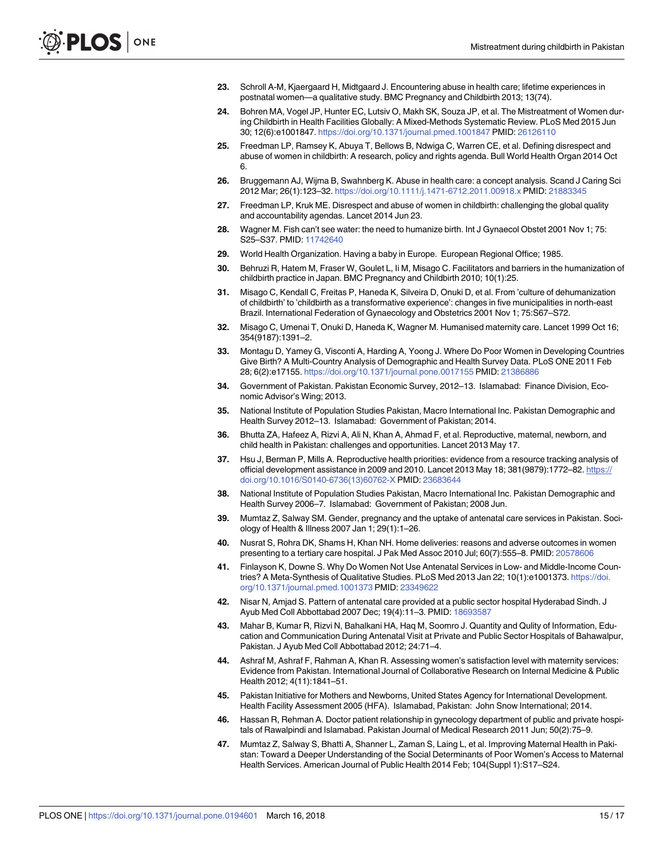- <span id="page-14-0"></span>**[23](#page-1-0).** Schroll A-M, Kjaergaard H, Midtgaard J. Encountering abuse in health care; lifetime experiences in postnatal women—a qualitative study. BMC Pregnancy and Childbirth 2013; 13(74).
- **[24](#page-1-0).** Bohren MA, Vogel JP, Hunter EC, Lutsiv O, Makh SK, Souza JP, et al. The Mistreatment of Women during Childbirth in Health Facilities Globally: A Mixed-Methods Systematic Review. PLoS Med 2015 Jun 30; 12(6):e1001847. <https://doi.org/10.1371/journal.pmed.1001847> PMID: [26126110](http://www.ncbi.nlm.nih.gov/pubmed/26126110)
- **[25](#page-1-0).** Freedman LP, Ramsey K, Abuya T, Bellows B, Ndwiga C, Warren CE, et al. Defining disrespect and abuse of women in childbirth: A research, policy and rights agenda. Bull World Health Organ 2014 Oct 6.
- **26.** Bruggemann AJ, Wijma B, Swahnberg K. Abuse in health care: a concept analysis. Scand J Caring Sci 2012 Mar; 26(1):123–32. <https://doi.org/10.1111/j.1471-6712.2011.00918.x> PMID: [21883345](http://www.ncbi.nlm.nih.gov/pubmed/21883345)
- **[27](#page-1-0).** Freedman LP, Kruk ME. Disrespect and abuse of women in childbirth: challenging the global quality and accountability agendas. Lancet 2014 Jun 23.
- **[28](#page-2-0).** Wagner M. Fish can't see water: the need to humanize birth. Int J Gynaecol Obstet 2001 Nov 1; 75: S25–S37. PMID: [11742640](http://www.ncbi.nlm.nih.gov/pubmed/11742640)
- **29.** World Health Organization. Having a baby in Europe. European Regional Office; 1985.
- **[30](#page-2-0).** Behruzi R, Hatem M, Fraser W, Goulet L, Ii M, Misago C. Facilitators and barriers in the humanization of childbirth practice in Japan. BMC Pregnancy and Childbirth 2010; 10(1):25.
- **[31](#page-2-0).** Misago C, Kendall C, Freitas P, Haneda K, Silveira D, Onuki D, et al. From 'culture of dehumanization of childbirth' to 'childbirth as a transformative experience': changes in five municipalities in north-east Brazil. International Federation of Gynaecology and Obstetrics 2001 Nov 1; 75:S67–S72.
- **[32](#page-2-0).** Misago C, Umenai T, Onuki D, Haneda K, Wagner M. Humanised maternity care. Lancet 1999 Oct 16; 354(9187):1391–2.
- **[33](#page-2-0).** Montagu D, Yamey G, Visconti A, Harding A, Yoong J. Where Do Poor Women in Developing Countries Give Birth? A Multi-Country Analysis of Demographic and Health Survey Data. PLoS ONE 2011 Feb 28; 6(2):e17155. <https://doi.org/10.1371/journal.pone.0017155> PMID: [21386886](http://www.ncbi.nlm.nih.gov/pubmed/21386886)
- **[34](#page-2-0).** Government of Pakistan. Pakistan Economic Survey, 2012–13. Islamabad: Finance Division, Economic Advisor's Wing; 2013.
- **[35](#page-2-0).** National Institute of Population Studies Pakistan, Macro International Inc. Pakistan Demographic and Health Survey 2012–13. Islamabad: Government of Pakistan; 2014.
- **[36](#page-2-0).** Bhutta ZA, Hafeez A, Rizvi A, Ali N, Khan A, Ahmad F, et al. Reproductive, maternal, newborn, and child health in Pakistan: challenges and opportunities. Lancet 2013 May 17.
- **[37](#page-2-0).** Hsu J, Berman P, Mills A. Reproductive health priorities: evidence from a resource tracking analysis of official development assistance in 2009 and 2010. Lancet 2013 May 18; 381(9879): 1772-82. [https://](https://doi.org/10.1016/S0140-6736(13)60762-X) [doi.org/10.1016/S0140-6736\(13\)60762-X](https://doi.org/10.1016/S0140-6736(13)60762-X) PMID: [23683644](http://www.ncbi.nlm.nih.gov/pubmed/23683644)
- **[38](#page-2-0).** National Institute of Population Studies Pakistan, Macro International Inc. Pakistan Demographic and Health Survey 2006–7. Islamabad: Government of Pakistan; 2008 Jun.
- **39.** Mumtaz Z, Salway SM. Gender, pregnancy and the uptake of antenatal care services in Pakistan. Sociology of Health & Illness 2007 Jan 1; 29(1):1–26.
- **40.** Nusrat S, Rohra DK, Shams H, Khan NH. Home deliveries: reasons and adverse outcomes in women presenting to a tertiary care hospital. J Pak Med Assoc 2010 Jul; 60(7):555–8. PMID: [20578606](http://www.ncbi.nlm.nih.gov/pubmed/20578606)
- **[41](#page-2-0).** Finlayson K, Downe S. Why Do Women Not Use Antenatal Services in Low- and Middle-Income Countries? A Meta-Synthesis of Qualitative Studies. PLoS Med 2013 Jan 22; 10(1):e1001373. [https://doi.](https://doi.org/10.1371/journal.pmed.1001373) [org/10.1371/journal.pmed.1001373](https://doi.org/10.1371/journal.pmed.1001373) PMID: [23349622](http://www.ncbi.nlm.nih.gov/pubmed/23349622)
- **[42](#page-2-0).** Nisar N, Amjad S. Pattern of antenatal care provided at a public sector hospital Hyderabad Sindh. J Ayub Med Coll Abbottabad 2007 Dec; 19(4):11–3. PMID: [18693587](http://www.ncbi.nlm.nih.gov/pubmed/18693587)
- **43.** Mahar B, Kumar R, Rizvi N, Bahalkani HA, Haq M, Soomro J. Quantity and Qulity of Information, Education and Communication During Antenatal Visit at Private and Public Sector Hospitals of Bahawalpur, Pakistan. J Ayub Med Coll Abbottabad 2012; 24:71–4.
- **44.** Ashraf M, Ashraf F, Rahman A, Khan R. Assessing women's satisfaction level with maternity services: Evidence from Pakistan. International Journal of Collaborative Research on Internal Medicine & Public Health 2012; 4(11):1841–51.
- **45.** Pakistan Initiative for Mothers and Newborns, United States Agency for International Development. Health Facility Assessment 2005 (HFA). Islamabad, Pakistan: John Snow International; 2014.
- **46.** Hassan R, Rehman A. Doctor patient relationship in gynecology department of public and private hospitals of Rawalpindi and Islamabad. Pakistan Journal of Medical Research 2011 Jun; 50(2):75–9.
- **[47](#page-2-0).** Mumtaz Z, Salway S, Bhatti A, Shanner L, Zaman S, Laing L, et al. Improving Maternal Health in Pakistan: Toward a Deeper Understanding of the Social Determinants of Poor Women's Access to Maternal Health Services. American Journal of Public Health 2014 Feb; 104(Suppl 1):S17–S24.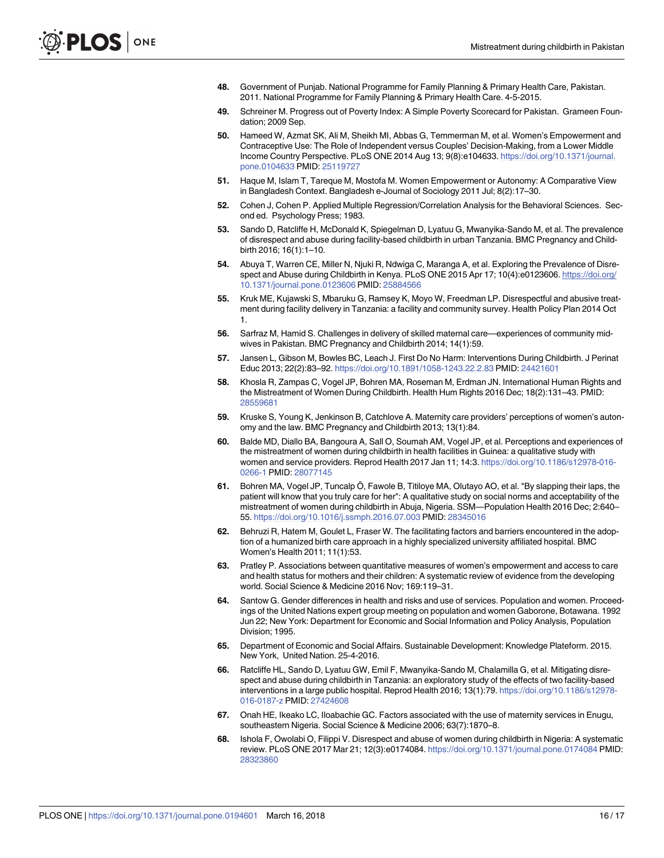- <span id="page-15-0"></span>**[48](#page-3-0).** Government of Punjab. National Programme for Family Planning & Primary Health Care, Pakistan. 2011. National Programme for Family Planning & Primary Health Care. 4-5-2015.
- **[49](#page-4-0).** Schreiner M. Progress out of Poverty Index: A Simple Poverty Scorecard for Pakistan. Grameen Foundation; 2009 Sep.
- **[50](#page-4-0).** Hameed W, Azmat SK, Ali M, Sheikh MI, Abbas G, Temmerman M, et al. Women's Empowerment and Contraceptive Use: The Role of Independent versus Couples' Decision-Making, from a Lower Middle Income Country Perspective. PLoS ONE 2014 Aug 13; 9(8):e104633. [https://doi.org/10.1371/journal.](https://doi.org/10.1371/journal.pone.0104633) [pone.0104633](https://doi.org/10.1371/journal.pone.0104633) PMID: [25119727](http://www.ncbi.nlm.nih.gov/pubmed/25119727)
- **[51](#page-4-0).** Haque M, Islam T, Tareque M, Mostofa M. Women Empowerment or Autonomy: A Comparative View in Bangladesh Context. Bangladesh e-Journal of Sociology 2011 Jul; 8(2):17–30.
- **[52](#page-5-0).** Cohen J, Cohen P. Applied Multiple Regression/Correlation Analysis for the Behavioral Sciences. Second ed. Psychology Press; 1983.
- **[53](#page-10-0).** Sando D, Ratcliffe H, McDonald K, Spiegelman D, Lyatuu G, Mwanyika-Sando M, et al. The prevalence of disrespect and abuse during facility-based childbirth in urban Tanzania. BMC Pregnancy and Childbirth 2016; 16(1):1–10.
- **[54](#page-10-0).** Abuya T, Warren CE, Miller N, Njuki R, Ndwiga C, Maranga A, et al. Exploring the Prevalence of Disrespect and Abuse during Childbirth in Kenya. PLoS ONE 2015 Apr 17; 10(4):e0123606. [https://doi.org/](https://doi.org/10.1371/journal.pone.0123606) [10.1371/journal.pone.0123606](https://doi.org/10.1371/journal.pone.0123606) PMID: [25884566](http://www.ncbi.nlm.nih.gov/pubmed/25884566)
- **[55](#page-10-0).** Kruk ME, Kujawski S, Mbaruku G, Ramsey K, Moyo W, Freedman LP. Disrespectful and abusive treatment during facility delivery in Tanzania: a facility and community survey. Health Policy Plan 2014 Oct 1.
- **[56](#page-10-0).** Sarfraz M, Hamid S. Challenges in delivery of skilled maternal care—experiences of community midwives in Pakistan. BMC Pregnancy and Childbirth 2014; 14(1):59.
- **[57](#page-10-0).** Jansen L, Gibson M, Bowles BC, Leach J. First Do No Harm: Interventions During Childbirth. J Perinat Educ 2013; 22(2):83–92. <https://doi.org/10.1891/1058-1243.22.2.83> PMID: [24421601](http://www.ncbi.nlm.nih.gov/pubmed/24421601)
- **[58](#page-10-0).** Khosla R, Zampas C, Vogel JP, Bohren MA, Roseman M, Erdman JN. International Human Rights and the Mistreatment of Women During Childbirth. Health Hum Rights 2016 Dec; 18(2):131–43. PMID: [28559681](http://www.ncbi.nlm.nih.gov/pubmed/28559681)
- **[59](#page-10-0).** Kruske S, Young K, Jenkinson B, Catchlove A. Maternity care providers' perceptions of women's autonomy and the law. BMC Pregnancy and Childbirth 2013; 13(1):84.
- **[60](#page-10-0).** Balde MD, Diallo BA, Bangoura A, Sall O, Soumah AM, Vogel JP, et al. Perceptions and experiences of the mistreatment of women during childbirth in health facilities in Guinea: a qualitative study with women and service providers. Reprod Health 2017 Jan 11; 14:3. [https://doi.org/10.1186/s12978-016-](https://doi.org/10.1186/s12978-016-0266-1) [0266-1](https://doi.org/10.1186/s12978-016-0266-1) PMID: [28077145](http://www.ncbi.nlm.nih.gov/pubmed/28077145)
- **[61](#page-11-0).** Bohren MA, Vogel JP, Tuncalp Ö, Fawole B, Titiloye MA, Olutayo AO, et al. "By slapping their laps, the patient will know that you truly care for her": A qualitative study on social norms and acceptability of the mistreatment of women during childbirth in Abuja, Nigeria. SSM—Population Health 2016 Dec; 2:640– 55. <https://doi.org/10.1016/j.ssmph.2016.07.003> PMID: [28345016](http://www.ncbi.nlm.nih.gov/pubmed/28345016)
- **[62](#page-10-0).** Behruzi R, Hatem M, Goulet L, Fraser W. The facilitating factors and barriers encountered in the adoption of a humanized birth care approach in a highly specialized university affiliated hospital. BMC Women's Health 2011; 11(1):53.
- **[63](#page-10-0).** Pratley P. Associations between quantitative measures of women's empowerment and access to care and health status for mothers and their children: A systematic review of evidence from the developing world. Social Science & Medicine 2016 Nov; 169:119–31.
- **64.** Santow G. Gender differences in health and risks and use of services. Population and women. Proceedings of the United Nations expert group meeting on population and women Gaborone, Botawana. 1992 Jun 22; New York: Department for Economic and Social Information and Policy Analysis, Population Division; 1995.
- **[65](#page-10-0).** Department of Economic and Social Affairs. Sustainable Development: Knowledge Plateform. 2015. New York, United Nation. 25-4-2016.
- **[66](#page-11-0).** Ratcliffe HL, Sando D, Lyatuu GW, Emil F, Mwanyika-Sando M, Chalamilla G, et al. Mitigating disrespect and abuse during childbirth in Tanzania: an exploratory study of the effects of two facility-based interventions in a large public hospital. Reprod Health 2016; 13(1):79. [https://doi.org/10.1186/s12978-](https://doi.org/10.1186/s12978-016-0187-z) [016-0187-z](https://doi.org/10.1186/s12978-016-0187-z) PMID: [27424608](http://www.ncbi.nlm.nih.gov/pubmed/27424608)
- **[67](#page-11-0).** Onah HE, Ikeako LC, Iloabachie GC. Factors associated with the use of maternity services in Enugu, southeastern Nigeria. Social Science & Medicine 2006; 63(7):1870–8.
- **[68](#page-11-0).** Ishola F, Owolabi O, Filippi V. Disrespect and abuse of women during childbirth in Nigeria: A systematic review. PLoS ONE 2017 Mar 21; 12(3):e0174084. <https://doi.org/10.1371/journal.pone.0174084> PMID: [28323860](http://www.ncbi.nlm.nih.gov/pubmed/28323860)